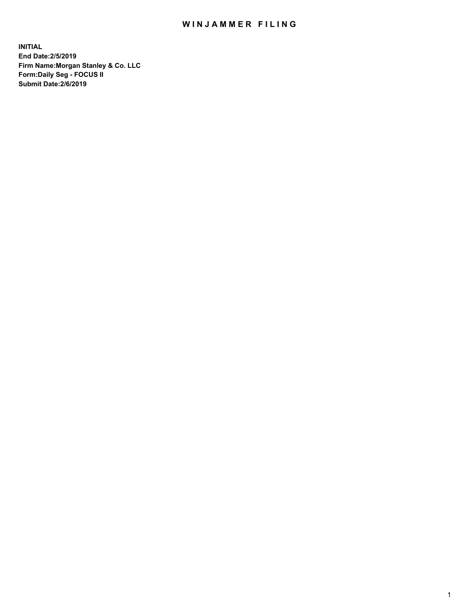## WIN JAMMER FILING

**INITIAL End Date:2/5/2019 Firm Name:Morgan Stanley & Co. LLC Form:Daily Seg - FOCUS II Submit Date:2/6/2019**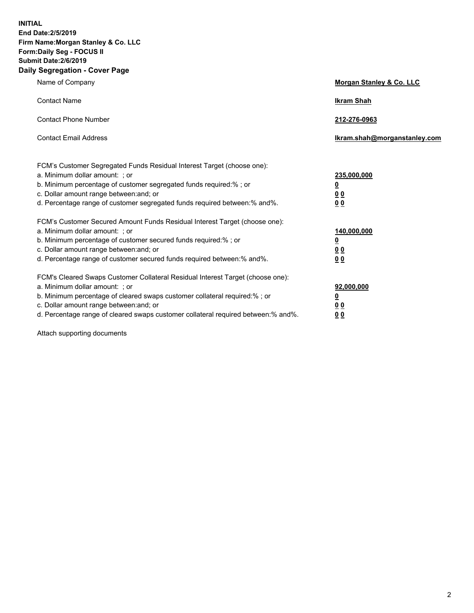**INITIAL End Date:2/5/2019 Firm Name:Morgan Stanley & Co. LLC Form:Daily Seg - FOCUS II Submit Date:2/6/2019 Daily Segregation - Cover Page**

| Name of Company                                                                                                                                                                                                                                                                                                                | Morgan Stanley & Co. LLC                                    |
|--------------------------------------------------------------------------------------------------------------------------------------------------------------------------------------------------------------------------------------------------------------------------------------------------------------------------------|-------------------------------------------------------------|
| <b>Contact Name</b>                                                                                                                                                                                                                                                                                                            | <b>Ikram Shah</b>                                           |
| <b>Contact Phone Number</b>                                                                                                                                                                                                                                                                                                    | 212-276-0963                                                |
| <b>Contact Email Address</b>                                                                                                                                                                                                                                                                                                   | lkram.shah@morganstanley.com                                |
| FCM's Customer Segregated Funds Residual Interest Target (choose one):<br>a. Minimum dollar amount: ; or<br>b. Minimum percentage of customer segregated funds required:% ; or<br>c. Dollar amount range between: and; or<br>d. Percentage range of customer segregated funds required between: % and %.                       | 235,000,000<br><u>0</u><br><u>00</u><br>00                  |
| FCM's Customer Secured Amount Funds Residual Interest Target (choose one):<br>a. Minimum dollar amount: ; or<br>b. Minimum percentage of customer secured funds required:%; or<br>c. Dollar amount range between: and; or<br>d. Percentage range of customer secured funds required between:% and%.                            | 140,000,000<br><u>0</u><br>0 <sub>0</sub><br>0 <sub>0</sub> |
| FCM's Cleared Swaps Customer Collateral Residual Interest Target (choose one):<br>a. Minimum dollar amount: ; or<br>b. Minimum percentage of cleared swaps customer collateral required:% ; or<br>c. Dollar amount range between: and; or<br>d. Percentage range of cleared swaps customer collateral required between:% and%. | 92,000,000<br><u>0</u><br>0 Q<br>0 <sub>0</sub>             |

Attach supporting documents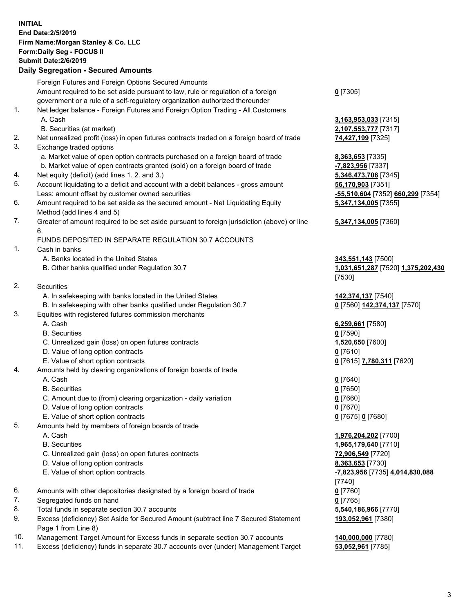## **INITIAL End Date:2/5/2019 Firm Name:Morgan Stanley & Co. LLC Form:Daily Seg - FOCUS II Submit Date:2/6/2019 Daily Segregation - Secured Amounts** Foreign Futures and Foreign Options Secured Amounts Amount required to be set aside pursuant to law, rule or regulation of a foreign government or a rule of a self-regulatory organization authorized thereunder 1. Net ledger balance - Foreign Futures and Foreign Option Trading - All Customers A. Cash **3,163,953,033** [7315] B. Securities (at market) **2,107,553,777** [7317] 2. Net unrealized profit (loss) in open futures contracts traded on a foreign board of trade **74,427,199** [7325] 3. Exchange traded options a. Market value of open option contracts purchased on a foreign board of trade **8,363,653** [7335] b. Market value of open contracts granted (sold) on a foreign board of trade **-7,823,956** [7337] 4. Net equity (deficit) (add lines 1. 2. and 3.) **5,346,473,706** [7345] 5. Account liquidating to a deficit and account with a debit balances - gross amount **56,170,903** [7351] Less: amount offset by customer owned securities **-55,510,604** [7352] **660,299** [7354] 6. Amount required to be set aside as the secured amount - Net Liquidating Equity Method (add lines 4 and 5) 7. Greater of amount required to be set aside pursuant to foreign jurisdiction (above) or line 6. FUNDS DEPOSITED IN SEPARATE REGULATION 30.7 ACCOUNTS 1. Cash in banks A. Banks located in the United States **343,551,143** [7500] B. Other banks qualified under Regulation 30.7 **1,031,651,287** [7520] **1,375,202,430** 2. Securities A. In safekeeping with banks located in the United States **142,374,137** [7540] B. In safekeeping with other banks qualified under Regulation 30.7 **0** [7560] **142,374,137** [7570] 3. Equities with registered futures commission merchants A. Cash **6,259,661** [7580] B. Securities **0** [7590] C. Unrealized gain (loss) on open futures contracts **1,520,650** [7600] D. Value of long option contracts **0** [7610] E. Value of short option contracts **0** [7615] **7,780,311** [7620] 4. Amounts held by clearing organizations of foreign boards of trade A. Cash **0** [7640] B. Securities **0** [7650] C. Amount due to (from) clearing organization - daily variation **0** [7660] D. Value of long option contracts **0** [7670]

- E. Value of short option contracts **0** [7675] **0** [7680]
- 5. Amounts held by members of foreign boards of trade
	-
	-
	- C. Unrealized gain (loss) on open futures contracts **72,906,549** [7720]
	- D. Value of long option contracts **8,363,653** [7730]
	- E. Value of short option contracts **-7,823,956** [7735] **4,014,830,088**
- 6. Amounts with other depositories designated by a foreign board of trade **0** [7760]
- 7. Segregated funds on hand **0** [7765]
- 8. Total funds in separate section 30.7 accounts **5,540,186,966** [7770]
- 9. Excess (deficiency) Set Aside for Secured Amount (subtract line 7 Secured Statement Page 1 from Line 8)
- 10. Management Target Amount for Excess funds in separate section 30.7 accounts **140,000,000** [7780]
- 11. Excess (deficiency) funds in separate 30.7 accounts over (under) Management Target **53,052,961** [7785]

**0** [7305]

**5,347,134,005** [7355]

## **5,347,134,005** [7360]

[7530]

 A. Cash **1,976,204,202** [7700] B. Securities **1,965,179,640** [7710] [7740] **193,052,961** [7380]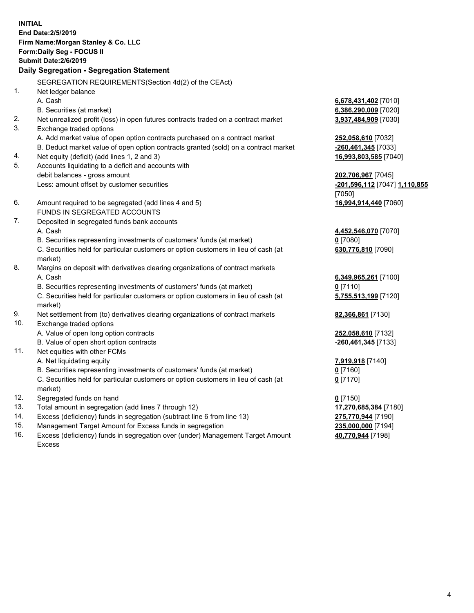**INITIAL End Date:2/5/2019 Firm Name:Morgan Stanley & Co. LLC Form:Daily Seg - FOCUS II Submit Date:2/6/2019 Daily Segregation - Segregation Statement** SEGREGATION REQUIREMENTS(Section 4d(2) of the CEAct) 1. Net ledger balance A. Cash **6,678,431,402** [7010] B. Securities (at market) **6,386,290,009** [7020] 2. Net unrealized profit (loss) in open futures contracts traded on a contract market **3,937,484,909** [7030] 3. Exchange traded options A. Add market value of open option contracts purchased on a contract market **252,058,610** [7032] B. Deduct market value of open option contracts granted (sold) on a contract market **-260,461,345** [7033] 4. Net equity (deficit) (add lines 1, 2 and 3) **16,993,803,585** [7040] 5. Accounts liquidating to a deficit and accounts with debit balances - gross amount **202,706,967** [7045] Less: amount offset by customer securities **-201,596,112** [7047] **1,110,855** [7050] 6. Amount required to be segregated (add lines 4 and 5) **16,994,914,440** [7060] FUNDS IN SEGREGATED ACCOUNTS 7. Deposited in segregated funds bank accounts A. Cash **4,452,546,070** [7070] B. Securities representing investments of customers' funds (at market) **0** [7080] C. Securities held for particular customers or option customers in lieu of cash (at market) **630,776,810** [7090] 8. Margins on deposit with derivatives clearing organizations of contract markets A. Cash **6,349,965,261** [7100] B. Securities representing investments of customers' funds (at market) **0** [7110] C. Securities held for particular customers or option customers in lieu of cash (at market) **5,755,513,199** [7120] 9. Net settlement from (to) derivatives clearing organizations of contract markets **82,366,861** [7130] 10. Exchange traded options A. Value of open long option contracts **252,058,610** [7132] B. Value of open short option contracts **-260,461,345** [7133] 11. Net equities with other FCMs A. Net liquidating equity **7,919,918** [7140] B. Securities representing investments of customers' funds (at market) **0** [7160] C. Securities held for particular customers or option customers in lieu of cash (at market) **0** [7170] 12. Segregated funds on hand **0** [7150] 13. Total amount in segregation (add lines 7 through 12) **17,270,685,384** [7180] 14. Excess (deficiency) funds in segregation (subtract line 6 from line 13) **275,770,944** [7190]

- 15. Management Target Amount for Excess funds in segregation **235,000,000** [7194]
- 16. Excess (deficiency) funds in segregation over (under) Management Target Amount Excess

**40,770,944** [7198]